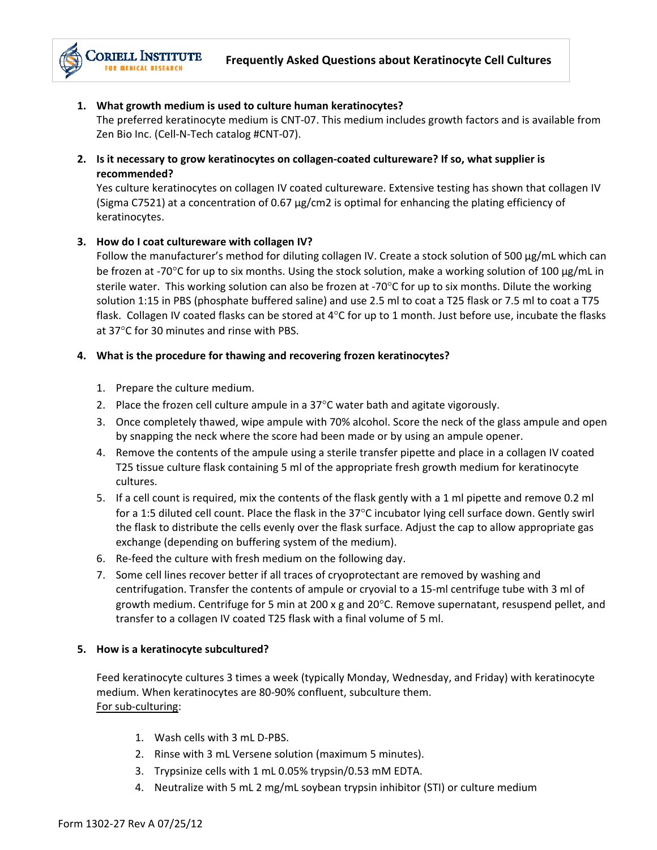### **1. What growth medium is used to culture human keratinocytes?**

The preferred keratinocyte medium is CNT‐07. This medium includes growth factors and is available from Zen Bio Inc. (Cell‐N‐Tech catalog #CNT‐07).

**2. Is it necessary to grow keratinocytes on collagen‐coated cultureware? If so, what supplier is recommended?**

Yes culture keratinocytes on collagen IV coated cultureware. Extensive testing has shown that collagen IV (Sigma C7521) at a concentration of 0.67 µg/cm2 is optimal for enhancing the plating efficiency of keratinocytes.

### **3. How do I coat cultureware with collagen IV?**

Follow the manufacturer's method for diluting collagen IV. Create a stock solution of 500 µg/mL which can be frozen at -70°C for up to six months. Using the stock solution, make a working solution of 100 µg/mL in sterile water. This working solution can also be frozen at -70 $\degree$ C for up to six months. Dilute the working solution 1:15 in PBS (phosphate buffered saline) and use 2.5 ml to coat a T25 flask or 7.5 ml to coat a T75 flask. Collagen IV coated flasks can be stored at  $4^{\circ}$ C for up to 1 month. Just before use, incubate the flasks at 37°C for 30 minutes and rinse with PBS.

### **4. What is the procedure for thawing and recovering frozen keratinocytes?**

- 1. Prepare the culture medium.
- 2. Place the frozen cell culture ampule in a  $37^{\circ}$ C water bath and agitate vigorously.
- 3. Once completely thawed, wipe ampule with 70% alcohol. Score the neck of the glass ampule and open by snapping the neck where the score had been made or by using an ampule opener.
- 4. Remove the contents of the ampule using a sterile transfer pipette and place in a collagen IV coated T25 tissue culture flask containing 5 ml of the appropriate fresh growth medium for keratinocyte cultures.
- 5. If a cell count is required, mix the contents of the flask gently with a 1 ml pipette and remove 0.2 ml for a 1:5 diluted cell count. Place the flask in the 37°C incubator lying cell surface down. Gently swirl the flask to distribute the cells evenly over the flask surface. Adjust the cap to allow appropriate gas exchange (depending on buffering system of the medium).
- 6. Re‐feed the culture with fresh medium on the following day.
- 7. Some cell lines recover better if all traces of cryoprotectant are removed by washing and centrifugation. Transfer the contents of ampule or cryovial to a 15-ml centrifuge tube with 3 ml of growth medium. Centrifuge for 5 min at 200 x g and 20 $^{\circ}$ C. Remove supernatant, resuspend pellet, and transfer to a collagen IV coated T25 flask with a final volume of 5 ml.

#### **5. How is a keratinocyte subcultured?**

Feed keratinocyte cultures 3 times a week (typically Monday, Wednesday, and Friday) with keratinocyte medium. When keratinocytes are 80‐90% confluent, subculture them. For sub‐culturing:

- 1. Wash cells with 3 mL D‐PBS.
- 2. Rinse with 3 mL Versene solution (maximum 5 minutes).
- 3. Trypsinize cells with 1 mL 0.05% trypsin/0.53 mM EDTA.
- 4. Neutralize with 5 mL 2 mg/mL soybean trypsin inhibitor (STI) or culture medium